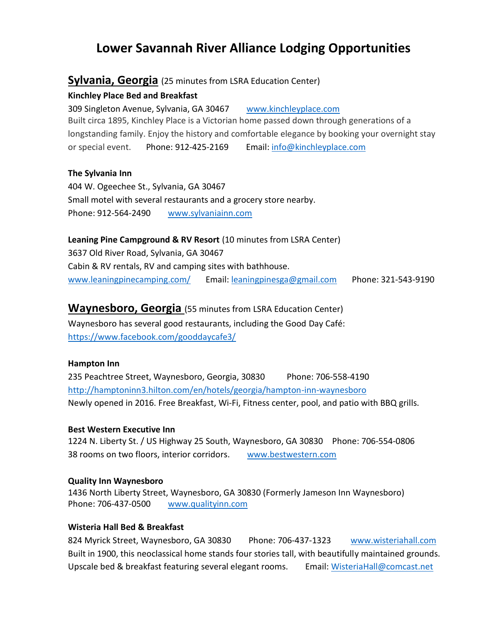# **Lower Savannah River Alliance Lodging Opportunities**

### **Sylvania, Georgia** (25 minutes from LSRA Education Center)

#### **Kinchley Place Bed and Breakfast**

309 Singleton Avenue, Sylvania, GA 30467 [www.kinchleyplace.com](http://www.kinchleyplace.com/)  Built circa 1895, Kinchley Place is a Victorian home passed down through generations of a longstanding family. Enjoy the history and comfortable elegance by booking your overnight stay or special event. Phone: 912-425-2169 Email: [info@kinchleyplace.com](mailto:info@kinchleyplace.com)

#### **The Sylvania Inn**

404 W. Ogeechee St., Sylvania, GA 30467 Small motel with several restaurants and a grocery store nearby. Phone: 912-564-2490 [www.sylvaniainn.com](http://www.sylvaniainn.com/) 

#### **Leaning Pine Campground & RV Resort** (10 minutes from LSRA Center)

3637 Old River Road, Sylvania, GA 30467 Cabin & RV rentals, RV and camping sites with bathhouse. [www.leaningpinecamping.com/](http://www.leaningpinecamping.com/) Email[: leaningpinesga@gmail.com](mailto:leaningpinesga@gmail.com) Phone: 321-543-9190

### **Waynesboro, Georgia** (55 minutes from LSRA Education Center)

Waynesboro has several good restaurants, including the Good Day Café: <https://www.facebook.com/gooddaycafe3/>

#### **Hampton Inn**

235 Peachtree Street, Waynesboro, Georgia, 30830 Phone: 706-558-4190 <http://hamptoninn3.hilton.com/en/hotels/georgia/hampton-inn-waynesboro> Newly opened in 2016. Free Breakfast, Wi-Fi, Fitness center, pool, and patio with BBQ grills.

#### **Best Western Executive Inn**

1224 N. Liberty St. / US Highway 25 South, Waynesboro, GA 30830 Phone: 706-554-0806 38 rooms on two floors, interior corridors. [www.bestwestern.com](http://www.bestwestern.com/) 

#### **Quality Inn Waynesboro**

1436 North Liberty Street, Waynesboro, GA 30830 (Formerly Jameson Inn Waynesboro) Phone: 706-437-0500 [www.qualityinn.com](http://www.qualityinn.com/)

#### **Wisteria Hall Bed & Breakfast**

824 Myrick Street, Waynesboro, GA 30830 Phone: 706-437-1323 [www.wisteriahall.com](http://www.wisteriahall.com/) Built in 1900, this neoclassical home stands four stories tall, with beautifully maintained grounds. Upscale bed & breakfast featuring several elegant rooms. Email: [WisteriaHall@comcast.net](mailto:WisteriaHall@comcast.net)